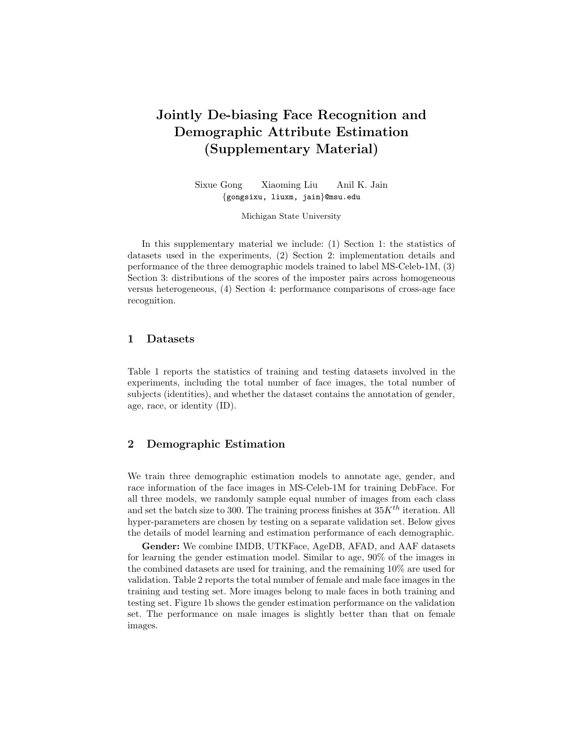# Jointly De-biasing Face Recognition and Demographic Attribute Estimation (Supplementary Material)

Sixue Gong Xiaoming Liu Anil K. Jain {gongsixu, liuxm, jain}@msu.edu

Michigan State University

In this supplementary material we include: (1) Section 1: the statistics of datasets used in the experiments, (2) Section 2: implementation details and performance of the three demographic models trained to label MS-Celeb-1M, (3) Section 3: distributions of the scores of the imposter pairs across homogeneous versus heterogeneous, (4) Section 4: performance comparisons of cross-age face recognition.

# 1 Datasets

Table 1 reports the statistics of training and testing datasets involved in the experiments, including the total number of face images, the total number of subjects (identities), and whether the dataset contains the annotation of gender, age, race, or identity (ID).

### 2 Demographic Estimation

We train three demographic estimation models to annotate age, gender, and race information of the face images in MS-Celeb-1M for training DebFace. For all three models, we randomly sample equal number of images from each class and set the batch size to 300. The training process finishes at  $35K^{th}$  iteration. All hyper-parameters are chosen by testing on a separate validation set. Below gives the details of model learning and estimation performance of each demographic.

Gender: We combine IMDB, UTKFace, AgeDB, AFAD, and AAF datasets for learning the gender estimation model. Similar to age, 90% of the images in the combined datasets are used for training, and the remaining 10% are used for validation. Table 2 reports the total number of female and male face images in the training and testing set. More images belong to male faces in both training and testing set. Figure 1b shows the gender estimation performance on the validation set. The performance on male images is slightly better than that on female images.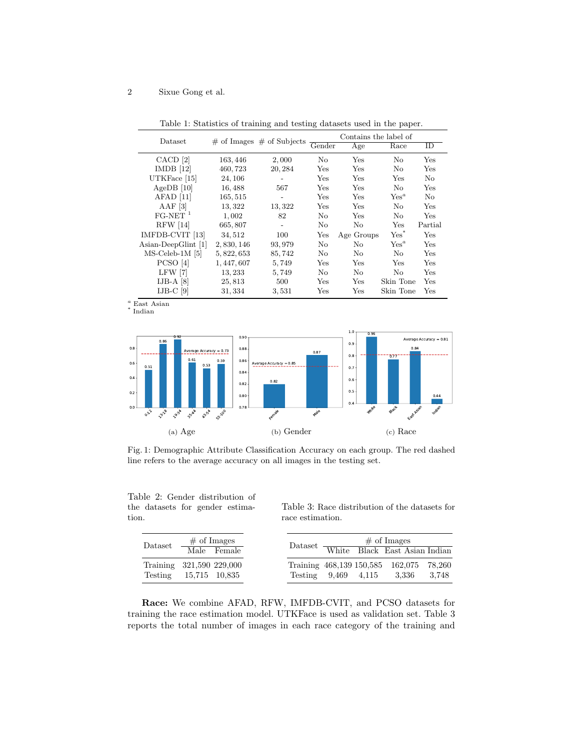## 2 Sixue Gong et al.

| Dataset               |             |                                 | Contains the label of   |            |           |         |
|-----------------------|-------------|---------------------------------|-------------------------|------------|-----------|---------|
|                       |             | $\#$ of Images $\#$ of Subjects | $\operatorname{Gender}$ | Age        | Race      | ID      |
| CACD [2]              | 163, 446    | 2,000                           | No                      | Yes        | No        | Yes     |
| IMDB [12]             | 460, 723    | 20, 284                         | Yes                     | Yes        | No.       | Yes     |
| UTKFace $[15]$        | 24, 106     |                                 | Yes                     | Yes        | Yes       | No.     |
| Age $DB$ [10]         | 16,488      | 567                             | <b>Yes</b>              | Yes        | No.       | Yes     |
| $AFAD$ [11]           | 165, 515    |                                 | <b>Yes</b>              | Yes        | $Yes^a$   | No      |
| AAF $[3]$             | 13,322      | 13, 322                         | Yes                     | Yes        | No        | Yes     |
| $FG-NET$ <sup>1</sup> | 1,002       | 82                              | No                      | Yes        | No        | Yes     |
| <b>RFW</b> [14]       | 665, 807    |                                 | No                      | No         | Yes       | Partial |
| IMFDB-CVIT [13]       | 34,512      | 100                             | Yes                     | Age Groups | $Yes^*$   | Yes     |
| Asian-DeepGlint [1]   | 2,830,146   | 93, 979                         | No                      | No         | $Yes^a$   | Yes     |
| $MS$ -Celeb-1M [5]    | 5, 822, 653 | 85,742                          | No                      | No         | No        | Yes     |
| PCSO [4]              | 1, 447, 607 | 5,749                           | Yes                     | Yes        | Yes       | Yes     |
| $LFW$  7              | 13, 233     | 5,749                           | No                      | No         | No        | Yes     |
| $IJB-A$ [8]           | 25,813      | 500                             | Yes                     | Yes        | Skin Tone | Yes     |
| $IJB-C$ [9]           | 31, 334     | 3,531                           | Yes                     | Yes        | Skin Tone | Yes     |

Table 1: Statistics of training and testing datasets used in the paper.

 $\raisebox{.5em}{$\scriptstyle \circ$}$ East Asian  $\raisebox{.5em}{$\scriptstyle \circ$}$ Indian



 $\overline{a}$ 



Fig. 1: Demographic Attribute Classification Accuracy on each group. The red dashed line refers to the average accuracy on all images in the testing set.

Table 2: Gender distribution of the datasets for gender estimation.

Table 3: Race distribution of the datasets for race estimation.

| $\text{Database}$                                 | $\#$ of Images<br>Male Female |                     |  | $\#$ of Images<br>Dataset White Black East Asian Indian |       |
|---------------------------------------------------|-------------------------------|---------------------|--|---------------------------------------------------------|-------|
| Training 321,590 229,000<br>Testing 15,715 10,835 |                               | Testing 9.469 4.115 |  | Training 468,139 150,585 162,075 78,260<br>3.336        | 3.748 |

Race: We combine AFAD, RFW, IMFDB-CVIT, and PCSO datasets for training the race estimation model. UTKFace is used as validation set. Table 3 reports the total number of images in each race category of the training and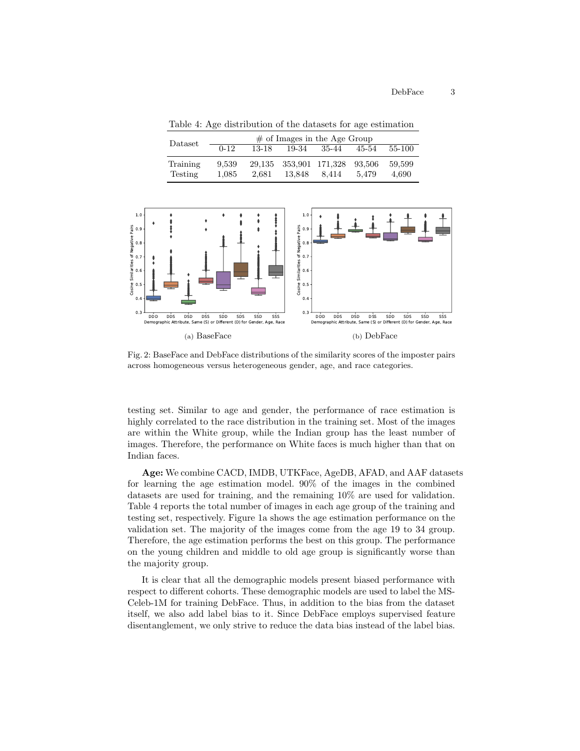Table 4: Age distribution of the datasets for age estimation

| Dataset  | $\#$ of Images in the Age Group |        |        |                 |        |        |
|----------|---------------------------------|--------|--------|-----------------|--------|--------|
|          | $0 - 12$                        | 13-18  | 19-34  | 35-44           | 45-54  | 55-100 |
| Training | 9.539                           | 29.135 |        | 353,901 171,328 | 93.506 | 59.599 |
| Testing  | 1.085                           | 2.681  | 13.848 | 8.414           | 5.479  | 4.690  |



Fig. 2: BaseFace and DebFace distributions of the similarity scores of the imposter pairs across homogeneous versus heterogeneous gender, age, and race categories.

testing set. Similar to age and gender, the performance of race estimation is highly correlated to the race distribution in the training set. Most of the images are within the White group, while the Indian group has the least number of images. Therefore, the performance on White faces is much higher than that on Indian faces.

Age: We combine CACD, IMDB, UTKFace, AgeDB, AFAD, and AAF datasets for learning the age estimation model. 90% of the images in the combined datasets are used for training, and the remaining 10% are used for validation. Table 4 reports the total number of images in each age group of the training and testing set, respectively. Figure 1a shows the age estimation performance on the validation set. The majority of the images come from the age 19 to 34 group. Therefore, the age estimation performs the best on this group. The performance on the young children and middle to old age group is significantly worse than the majority group.

It is clear that all the demographic models present biased performance with respect to different cohorts. These demographic models are used to label the MS-Celeb-1M for training DebFace. Thus, in addition to the bias from the dataset itself, we also add label bias to it. Since DebFace employs supervised feature disentanglement, we only strive to reduce the data bias instead of the label bias.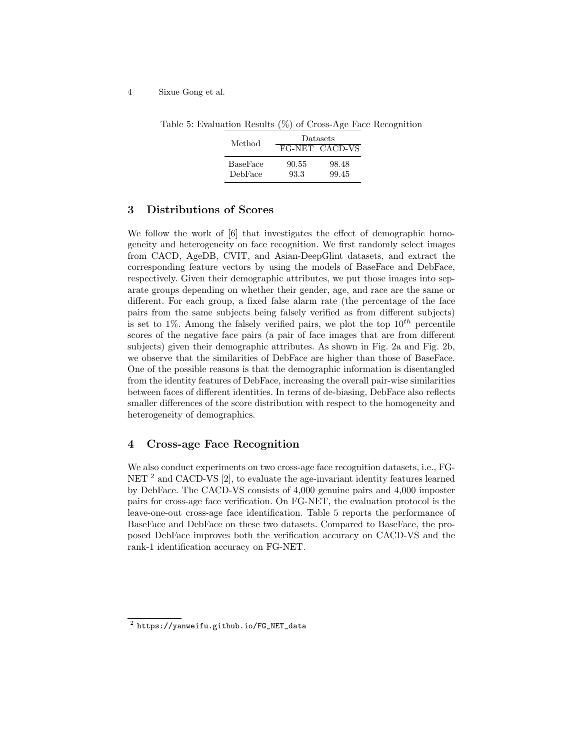#### 4 Sixue Gong et al.

| Method   | Datasets |                |  |  |
|----------|----------|----------------|--|--|
|          |          | FG-NET CACD-VS |  |  |
| BaseFace | 90.55    | 98.48          |  |  |
| DebFace  | 93.3     | 99.45          |  |  |

Table 5: Evaluation Results (%) of Cross-Age Face Recognition

## 3 Distributions of Scores

We follow the work of [6] that investigates the effect of demographic homogeneity and heterogeneity on face recognition. We first randomly select images from CACD, AgeDB, CVIT, and Asian-DeepGlint datasets, and extract the corresponding feature vectors by using the models of BaseFace and DebFace, respectively. Given their demographic attributes, we put those images into separate groups depending on whether their gender, age, and race are the same or different. For each group, a fixed false alarm rate (the percentage of the face pairs from the same subjects being falsely verified as from different subjects) is set to 1%. Among the falsely verified pairs, we plot the top  $10^{th}$  percentile scores of the negative face pairs (a pair of face images that are from different subjects) given their demographic attributes. As shown in Fig. 2a and Fig. 2b, we observe that the similarities of DebFace are higher than those of BaseFace. One of the possible reasons is that the demographic information is disentangled from the identity features of DebFace, increasing the overall pair-wise similarities between faces of different identities. In terms of de-biasing, DebFace also reflects smaller differences of the score distribution with respect to the homogeneity and heterogeneity of demographics.

# 4 Cross-age Face Recognition

We also conduct experiments on two cross-age face recognition datasets, i.e., FG-NET <sup>2</sup> and CACD-VS [2], to evaluate the age-invariant identity features learned by DebFace. The CACD-VS consists of 4,000 genuine pairs and 4,000 imposter pairs for cross-age face verification. On FG-NET, the evaluation protocol is the leave-one-out cross-age face identification. Table 5 reports the performance of BaseFace and DebFace on these two datasets. Compared to BaseFace, the proposed DebFace improves both the verification accuracy on CACD-VS and the rank-1 identification accuracy on FG-NET.

 $^{\rm 2}$  https://yanweifu.github.io/FG\_NET\_data